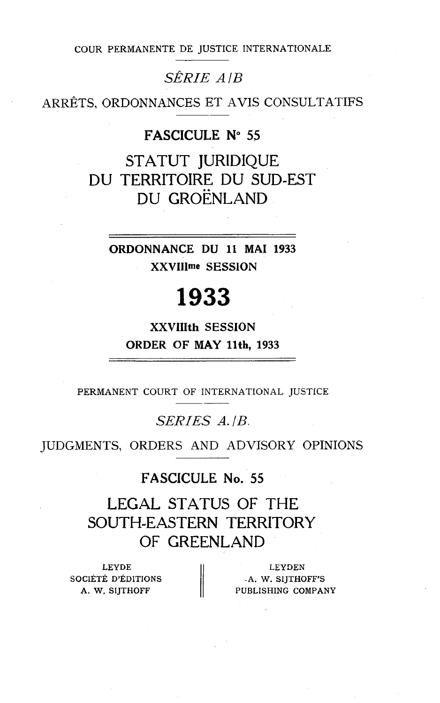COUR PERMANENTE DE JUSTICE INTERNATIONALE

 $\label{eq:se} \hat{SERIE}~~A/B$  ARRÊTS, ORDONNANCES ET AVIS CONSULTATIFS

### **FASCICULE N" 55**

STATUT JURIDIQUE DU TERRITOIRE DU SUD-EST DU GROËNLAND

ORDONNANCE DU 11 MAI 1933 XXVIIlme SESSION

# 1933

XXVIIIth SESSION ORDER OF **MAY** llth, 1933

PERMANENT COURT OF INTERNATIONAL JUSTICE

## *SERIES A. | B.*

JUDGMENTS, ORDERS AND ADVISORY OPINIONS

### **FASCICULE No. 55**

LEGAL STATUS OF THE SOUTH-EASTERN TERRITORY OF GREENLAND

LEYDE SOCIÉTÉ D'ÉDITIONS  $\|$  A. W. SIJTHOFF'S

LEYDE LEYDEN<br>CIETÉ D'ÉDITIONS | A. W. SIJTHOFF'S<br>A. W. SIJTHOFF PUBLISHING COMPANY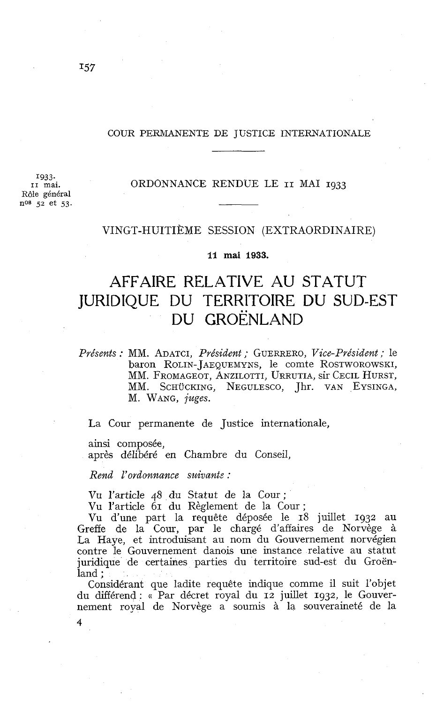#### COUR PERMANENTE DE JUSTICE INTERNATIONALE

ORDONNANCE RENDUE LE **II** MAI **1933** 

**1933.. II** mai. Rôle général no8 *52* et **53.** 

### VINGT-HUITIÈME SESSION (EXTRAORDINAIRE)

### **11 mai 1933.**

# AFFAIRE RELATIVE AU STATUT JURIDIQUE DU TERRITOIRE DU SUD-EST DU GROËNLAND

*Présents* : MM. ADATCI, *Président* ; GUERRERO, *Vice-Président* ; le baron ROLIN-JAEQUEMYNS, le comte ROSTWOROWSKI, MM. FROMAGEOT, ANZILOTTI, URRUTIA, sir CECIL HURST, MM. SCHÜCKING, NEGULESCO, Jhr. VAN EYSINGA, M. WANG, *juges.* 

La Cour permanente de Justice internationale,

ainsi composée,

4

après délibéré en Chambre du Conseil,

*Rend l'ordonnance suivantz* :

Vu l'article 48 du Statut de la Cour ;

Vu l'article 61 du Règlement de la Cour ;

Vu d'une part la requête déposée le 18 juillet **1932** au Greffe de la Cour, par le chargé d'affaires de Norvège à La Haye, et introduisant au nom du Gouvernement norvégien contre le Gouvernement danois une instance relative au statut juridique de certaines parties du territoire sud-est du Groënland ;

Considérant que ladite requête indique comme il suit l'objet du différend : « Par décret royal du **12** juillet **1932,** le Gouvernement royal de Norvège a soumis à la souveraineté de la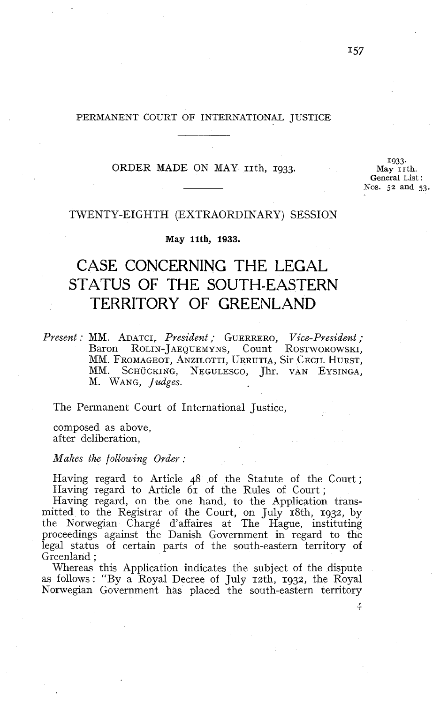### PERMANENT COURT OF INTERNATIONAL JUSTICE

### ORDER MADE ON MAY *rith*, 1933.

1933. **May 11th. General** List : Nos. 52 and 53.

### TWENTY-EIGHTH (EXTRAORDINARY) SESSION

**May Ilth, 1933.** 

# CASE CONCERNING THE LEGAL STATUS OF THE SOUTH-EASTERN TERRITORY OF GREENLAND

Present : MM. ADATCI, President ; GUERRERO, Vice-President ; Baron ROLIN-JAEQUEMYNS, Count ROSTWOROWSKI, MM. FROMAGEOT, ANZILOTTI, URRUTIA, Sir CECIL HURST, MM. SCHUCKING, NEGULESCO, Jhr. VAN EYSINGA, M. WANG, Judges.

The Permanent Court of International Justice,

composed as above, after deliberation,

 $Makes$  the following Order:

Having regard to Article 48 of the Statute of the Court; Having regard to Article 61 of the Rules of Court ;

Having regard, on the one hand, to the Application transmitted to the Registrar of the Court, on July 18th, 1932, by the Nonvegian Chargé d'affaires at The Hague, instituting proceedings against the Danish Government in regard to the legal status of certain parts of the south-eastern territory of Greenland ;

Whereas this Application indicates the subject of the dispute as follows : "By a Royal Decree of July 12th, 1932, the Royal Nonvegian Government has placed the south-eastern territory

 $\overline{4}$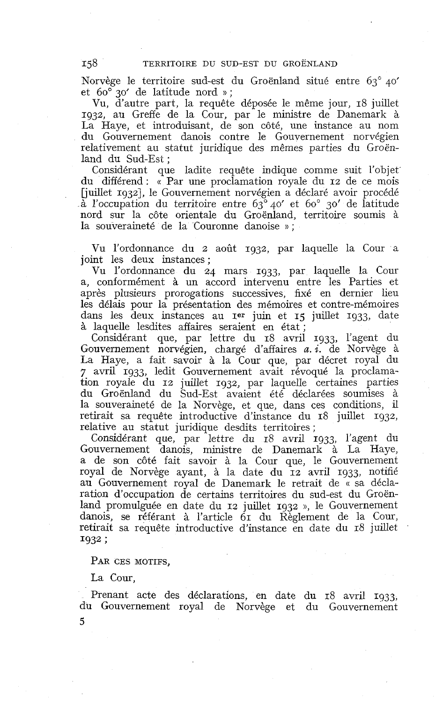Norvège le territoire sud-est du Groënland situé entre 63" 40' et 60" 30' de latitude nord » ;

Vu, d'autre part, la requête déposée le même jour, 18 juillet 1932, au Greffe de la Cour, par le ministre de Danemark à La Haye, et introduisant, de son côté, une instance au nom du Gouvernement danois contre le Gouvernement norvégien relativement au statut juridique des mêmes parties du Groënland du Sud-Est ;

Considérant que ladite requête indique comme suit l'objet du différend : (( Par une proclamation royale du 12 de ce mois [juillet 19321, le Gouvernement norvégien a déclaré avoir procédé  $\tilde{a}$  l'occupation du territoire entre 63° 40' et 60° 30' de latitude nord sur la côte orientale du Groënland, territoire soumis à la souveraineté de la Couronne danoise » ;

Vu l'ordonnance du 2 août 1932, par laquelle la Cour a joint les deux instances ;

Vu l'ordonnance du 24 mars 1933, par laquelle la Cour a, conformément à un accord intervenu entre les Parties et après plusieurs prorogations successives, fixé en dernier lieu les délais pour la présentation des mémoires et contre-mémoires dans les deux instances au **I<sup>er</sup>** juin et 15 juillet 1933, date à laquelle lesdites affaires seraient en état ;

Considérant que, par lettre du 18 avril 1933, l'agent du Gouvernement norvégien, chargé d'affaires *a.* **i.** de Norvège à La Haye, a fait savoir à la Cour que, par décret royal du 7 avril 1933, ledit Gouvernement avait révoqué la proclamation royale du 12 juillet 1932, par laquelle certaines parties du Groënland du Sud-Est avaient été déclarées soumises à la souveraineté de la Norvège, et que, dans ces conditions, il retirait sa requête introductive d'instance du 18 juillet 1932, relative au statut juridique desdits territoires ;

Considérant que, par lettre du 18 avril 1933, l'agent du Gouvernement danois, ministre de Danemark à La Haye, a de son côté fait savoir à la Cour que, le Gouvernement royal de Norvège ayant, à la date du **12** avril 1933, notifié au Gouvernement royal de Danemark le retrait de « sa déclaration d'occupation de certains territoires du sud-est du Groënland promulguée en date du 12 juillet 1932 », le Gouvernement danois, se référant à l'article 61 du Règlement de la Cour, retirait sa requête introductive d'instance en date du 18 juillet <sup>1932</sup>;

PAR CES MOTIFS.

La Cour,

5

Prenant acte des déclarations, en date du 18 avril 1933, du Gouvernement royal de Norvège et du Gouvernement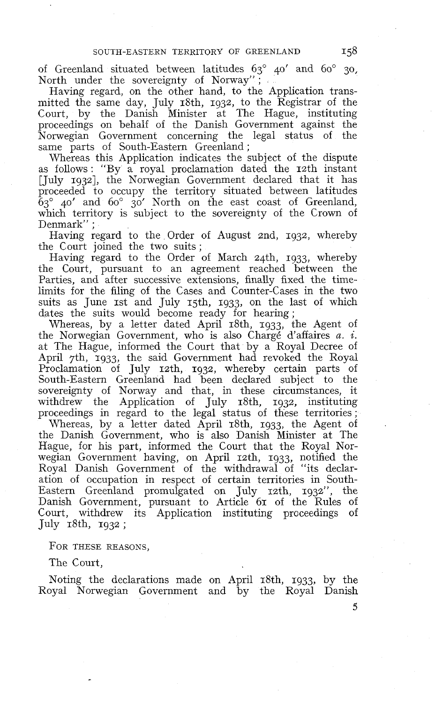of Greenland situated between latitudes 63" 40' and 60" 30, North under the sovereignty of Norway" ;

Having regard, on the other hand, to the Application transmitted the same day, July 18th, 1932, to the Registrar of the Court, by the Danish Minister at The Hague, instituting proceedings on behalf of the Danish Government against the Norwegian Government conceming the legal status of the same parts of South-Eastern Greenland;

Whereas this Application indicates the subject of the dispute as follows: "By a royal proclamation dated the 12th instant [July 19321, the Norwegian Government declared that it has proceeded to occupy the territory situated between latitudes  $\bar{6}3^{\circ}$  40' and  $60^{\circ}$  30' North on the east coast of Greenland, which territory is subject to the sovereignty of the Crown of Denmark" :

Having regard to the Order of August znd, 1932, whereby the Court joined the two suits ;

Having regard to the Order of March z4th, 1933, whereby the Court, pursuant to an agreement reached between the Parties, and after successive extensions, finally fixed the timelimits for the filing of the Cases and Counter-Cases in the two suits as June 1st and July 15th, 1933, on the last of which dates the suits would become ready for hearing ;

Whereas, by a letter dated April 18th, 1933, the Agent of the Norwegian Government, who is also Chargé d'affaires a. **i.**  at The Hague, informed the Court that by a Royal Decree of April 7th, 1933, the said Govemment had revoked the Royal Proclamation of July 12th, 1932, whereby certain parts of South-Eastern Greenland had been declared subject to the sovereignty of Norway and that, in these circumstances, it withdrew the Application of July 18th, 1932, instituting proceedings in regard to the legal status of these territories ;

U'hereas, by a letter dated April 18th, 1933, the Agent of the Danish Government, who is also Danish Minister at The Hague, for his part, informed the Court that the Royal Norwegian Government having, on April 12th, 1933, notified the Royal Danish Government of the withdrawal of "its declaration of occupation in respect of certain territories in South-Eastern Greenland promulgated on July 12th, 1932", the Danish Government, pursuant to Article 61 of the Rules of Court, withdrew its Application instituting proceedings of July  $18th$ ,  $1932$ ;

FOR THESE REASONS,

The Court,

Noting the declarations made on April 18th, 1933, by the Royal Norwegian Government and by the Royal Danish

5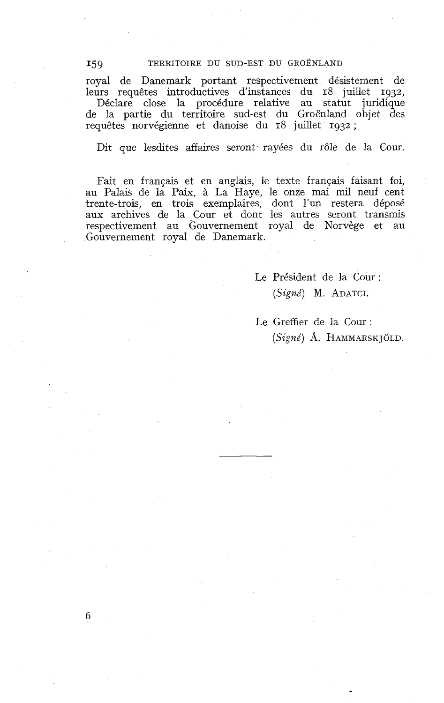#### TERRITOIRE DU SUD-EST DU GROËNLAND

royal de Danemark portant respectivement désistement de leurs requêtes introductives d'instances du 18 juillet 1932,

Déclare close la procédure relative au statut juridique de la partie du territoire sud-est du Groënland objet des requêtes norvégienne et danoise du 18 juillet 1932 ;

Dit que lesdites affaires seront rayées du rôle de la Cour

Fait en franqais et en anglais, le texte français faisant foi, au Palais de la Paix, à La Haye, le onze mai mil neuf cent trente-trois, en trois exemplaires, dont l'un restera déposé aux archives de la Cour et dont les autres seront transmis respectivement au Gouvernement royal de Norvège et au Gouvernement royal de Danemark.

> Le Président de la Cour : *(Signé) M.* ADATCI.

Le Greffier de la Cour : *(Signé)* A. HAMMARSKJOLD.

6

**I59.**